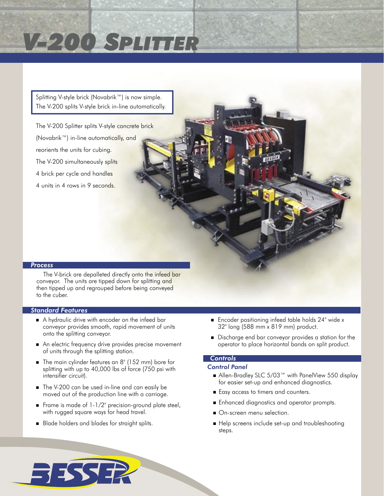# *V-200 SPLITTER*

Splitting V-style brick (Novabrik™) is now simple. The V-200 splits V-style brick in-line automatically.

The V-200 Splitter splits V-style concrete brick (Novabrik™) in-line automatically, and reorients the units for cubing. The V-200 simultaneously splits 4 brick per cycle and handles 4 units in 4 rows in 9 seconds.

# *Process*

The V-brick are depalleted directly onto the infeed bar conveyor. The units are tipped down for splitting and then tipped up and regrouped before being conveyed to the cuber.

# *Standard Features*

- A hydraulic drive with encoder on the infeed bar conveyor provides smooth, rapid movement of units onto the splitting conveyor.
- An electric frequency drive provides precise movement of units through the splitting station.
- The main cylinder features an 8" (152 mm) bore for splitting with up to 40,000 lbs of force (750 psi with intensifier circuit).
- The V-200 can be used in-line and can easily be moved out of the production line with a carriage.
- Frame is made of  $1-1/2$ " precision-ground plate steel, with rugged square ways for head travel.
- Blade holders and blades for straight splits.

**SISSER** 

- **Encoder positioning infeed table holds 24" wide x** 32" long (588 mm x 819 mm) product.
- Discharge end bar conveyor provides a station for the operator to place horizontal bands on split product.

# *Controls*

# *Control Panel*

- Allen-Bradley SLC 5/03<sup>™</sup> with PanelView 550 display for easier set-up and enhanced diagnostics.
- Easy access to timers and counters.
- **Enhanced diagnostics and operator prompts.**
- On-screen menu selection.
- Help screens include set-up and troubleshooting steps.